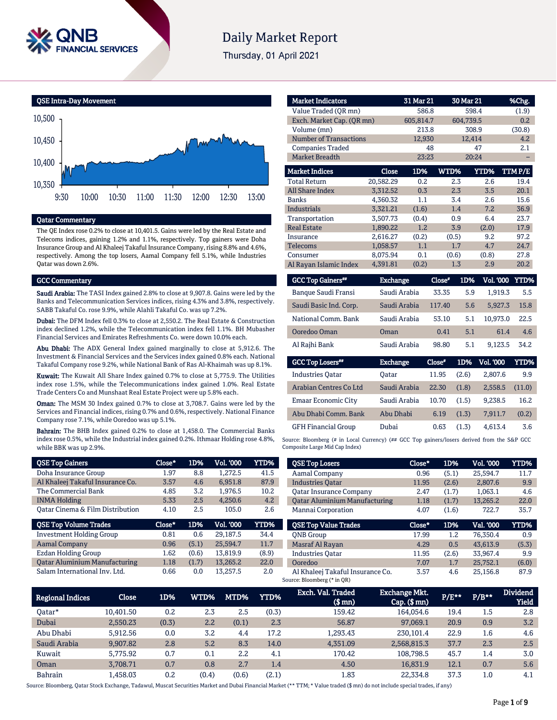

## **Daily Market Report**

Thursday, 01 April 2021



#### Qatar Commentary

The QE Index rose 0.2% to close at 10,401.5. Gains were led by the Real Estate and Telecoms indices, gaining 1.2% and 1.1%, respectively. Top gainers were Doha Insurance Group and Al Khaleej Takaful Insurance Company, rising 8.8% and 4.6%, respectively. Among the top losers, Aamal Company fell 5.1%, while Industries Qatar was down 2.6%.

#### GCC Commentary

Saudi Arabia: The TASI Index gained 2.8% to close at 9,907.8. Gains were led by the Banks and Telecommunication Services indices, rising 4.3% and 3.8%, respectively. SABB Takaful Co. rose 9.9%, while Alahli Takaful Co. was up 7.2%.

Dubai: The DFM Index fell 0.3% to close at 2,550.2. The Real Estate & Construction index declined 1.2%, while the Telecommunication index fell 1.1%. BH Mubasher Financial Services and Emirates Refreshments Co. were down 10.0% each.

Abu Dhabi: The ADX General Index gained marginally to close at 5,912.6. The Investment & Financial Services and the Services index gained 0.8% each. National Takaful Company rose 9.2%, while National Bank of Ras Al-Khaimah was up 8.1%.

Kuwait: The Kuwait All Share Index gained 0.7% to close at 5,775.9. The Utilities index rose 1.5%, while the Telecommunications index gained 1.0%. Real Estate Trade Centers Co and Munshaat Real Estate Project were up 5.8% each.

Oman: The MSM 30 Index gained 0.7% to close at 3,708.7. Gains were led by the Services and Financial indices, rising 0.7% and 0.6%, respectively. National Finance Company rose 7.1%, while Ooredoo was up 5.1%.

Bahrain: The BHB Index gained 0.2% to close at 1,458.0. The Commercial Banks index rose 0.5%, while the Industrial index gained 0.2%. Ithmaar Holding rose 4.8%, while BBK was up 2.9%.

| <b>QSE Top Gainers</b>                      | Close* | 1D%   | <b>Vol. '000</b> | YTD%  |
|---------------------------------------------|--------|-------|------------------|-------|
| Doha Insurance Group                        | 1.97   | 8.8   | 1.272.5          | 41.5  |
| Al Khaleej Takaful Insurance Co.            | 3.57   | 4.6   | 6.951.8          | 87.9  |
| The Commercial Bank                         | 4.85   | 3.2   | 1,976.5          | 10.2  |
| <b>INMA Holding</b>                         | 5.33   | 2.5   | 4.250.6          | 4.2   |
| <b>Qatar Cinema &amp; Film Distribution</b> | 4.10   | 2.5   | 105.0            | 2.6   |
|                                             |        |       |                  |       |
| <b>QSE Top Volume Trades</b>                | Close* | 1D%   | <b>Vol. '000</b> | YTD%  |
| <b>Investment Holding Group</b>             | 0.81   | 0.6   | 29.187.5         | 34.4  |
| <b>Aamal Company</b>                        | 0.96   | (5.1) | 25.594.7         | 11.7  |
| Ezdan Holding Group                         | 1.62   | (0.6) | 13.819.9         | (8.9) |
| <b>Qatar Aluminium Manufacturing</b>        | 1.18   | (1.7) | 13,265.2         | 22.0  |

| <b>Market Indicators</b>      |                | 31 Mar 21 | 30 Mar 21 |                       | %Chg.        |
|-------------------------------|----------------|-----------|-----------|-----------------------|--------------|
| Value Traded (QR mn)          |                | 586.8     |           | 598.4                 | (1.9)        |
| Exch. Market Cap. (QR mn)     |                | 605,814.7 |           | 604,739.5             | 0.2          |
| Volume (mn)                   |                | 213.8     |           | 308.9                 | (30.8)       |
| <b>Number of Transactions</b> |                | 12,930    |           | 12,414                | 4.2          |
| <b>Companies Traded</b>       |                | 48        |           | 47                    | 2.1          |
| <b>Market Breadth</b>         |                | 23:23     |           | 20:24                 |              |
| <b>Market Indices</b>         | Close          | 1D%       | WTD%      | YTD%                  | TTM P/E      |
| <b>Total Return</b>           | 20,582.29      | 0.2       | 2.3       | 2.6                   | 19.4         |
| <b>All Share Index</b>        | 3,312.52       | 0.3       | 2.3       | 3.5                   | 20.1         |
| Banks                         | 4,360.32       | 1.1       | 3.4       | 2.6                   | 15.6         |
| <b>Industrials</b>            | 3,321.21       | (1.6)     | 1.4       | 7.2                   | 36.9         |
| Transportation                | 3,507.73       | (0.4)     | 0.9       | 6.4                   | 23.7         |
| <b>Real Estate</b>            | 1.890.22       | 1.2       | 3.9       | (2.0)                 | 17.9         |
| Insurance                     | 2,616.27       | (0.2)     | (0.5)     | 9.2                   | 97.2         |
| <b>Telecoms</b>               | 1,058.57       | 1.1       | 1.7       | 4.7                   | 24.7         |
| Consumer                      | 8,075.94       | 0.1       | (0.6)     | (0.8)                 | 27.8         |
| Al Rayan Islamic Index        | 4,391.81       | (0.2)     | 1.3       | 2.9                   | 20.2         |
| $C C C T$ $T = C$ $T = 1$     | Tweedy and may |           | ๛-        | 1 DO/<br>$17-1$ inner | <b>VED07</b> |

| <b>GCC Top Gainers**</b> | <b>Exchange</b> | Close" | 1D% | Vol. '000 YTD%' |      |
|--------------------------|-----------------|--------|-----|-----------------|------|
| Banque Saudi Fransi      | Saudi Arabia    | 33.35  | 5.9 | 1.919.3         | 5.5  |
| Saudi Basic Ind. Corp.   | Saudi Arabia    | 117.40 | 5.6 | 5.927.3         | 15.8 |
| National Comm. Bank      | Saudi Arabia    | 53.10  | 5.1 | 10.973.0        | 22.5 |
| Ooredoo Oman             | Oman            | 0.41   | 5.1 | 61.4            | 4.6  |
| Al Rajhi Bank            | Saudi Arabia    | 98.80  | 5.1 | 9.123.5         | 34.2 |
|                          |                 |        |     |                 |      |

| <b>GCC Top Losers</b>      | <b>Exchange</b> | Close" | 1D%   | <b>Vol. 000</b> | YTD%   |
|----------------------------|-----------------|--------|-------|-----------------|--------|
| <b>Industries Oatar</b>    | Oatar           | 11.95  | (2.6) | 2.807.6         | 9.9    |
| Arabian Centres Co Ltd     | Saudi Arabia    | 22.30  | (1.8) | 2.558.5         | (11.0) |
| Emaar Economic City        | Saudi Arabia    | 10.70  | (1.5) | 9.238.5         | 16.2   |
| Abu Dhabi Comm. Bank       | Abu Dhabi       | 6.19   | (1.3) | 7.911.7         | (0.2)  |
| <b>GFH Financial Group</b> | Dubai           | 0.63   | (1.3) | 4.613.4         | 3.6    |

Source: Bloomberg (# in Local Currency) (## GCC Top gainers/losers derived from the S&P GCC Composite Large Mid Cap Index)

| <b>QSE Top Losers</b>                | Close* | 1D%   | Vol. '000 | YTD%  |
|--------------------------------------|--------|-------|-----------|-------|
| Aamal Company                        | 0.96   | (5.1) | 25.594.7  | 11.7  |
| <b>Industries Oatar</b>              | 11.95  | (2.6) | 2.807.6   | 9.9   |
| <b>Oatar Insurance Company</b>       | 2.47   | (1.7) | 1,063.1   | 4.6   |
| <b>Qatar Aluminium Manufacturing</b> | 1.18   | (1.7) | 13.265.2  | 22.0  |
| Mannai Corporation                   | 4.07   | (1.6) | 722.7     | 35.7  |
|                                      |        |       |           |       |
| <b>QSE Top Value Trades</b>          | Close* | 1D%   | Val. '000 | YTD%  |
| <b>ONB</b> Group                     | 17.99  | 1.2   | 76.350.4  | 0.9   |
| Masraf Al Rayan                      | 4.29   | 0.5   | 43.613.9  | (5.3) |
| <b>Industries Oatar</b>              | 11.95  | (2.6) | 33.967.4  | 9.9   |
| Ooredoo                              | 7.07   | 1.7   | 25.752.1  | (6.0) |

| <b>Regional Indices</b> | <b>Close</b> | 1D%   | WTD%  | MTD%  | YTD%  | Exch. Val. Traded<br>(\$ mn) | <b>Exchange Mkt.</b><br>$Cap.$ (\$ $mn$ ) | $P/E***$ | $P/B**$ | <b>Dividend</b><br><b>Yield</b> |
|-------------------------|--------------|-------|-------|-------|-------|------------------------------|-------------------------------------------|----------|---------|---------------------------------|
| Oatar*                  | 10.401.50    | 0.2   | 2.3   | 2.5   | (0.3) | 159.42                       | 164.054.6                                 | 19.4     | 1.5     | 2.8                             |
| Dubai                   | 2.550.23     | (0.3) | 2.2   | (0.1) | 2.3   | 56.87                        | 97,069.1                                  | 20.9     | 0.9     | 3.2                             |
| Abu Dhabi               | 5.912.56     | 0.0   | 3.2   | 4.4   | 17.2  | 1,293.43                     | 230.101.4                                 | 22.9     | 1.6     | 4.6                             |
| Saudi Arabia            | 9.907.82     | 2.8   | 5.2   | 8.3   | 14.0  | 4.351.09                     | 2,568,815.3                               | 37.7     | 2.3     | 2.5                             |
| Kuwait                  | 5.775.92     | 0.7   | 0.1   | 2.2   | 4.1   | 170.42                       | 108.798.5                                 | 45.7     | 1.4     | 3.0                             |
| Oman                    | 3.708.71     | 0.7   | 0.8   | 2.7   | 1.4   | 4.50                         | 16.831.9                                  | 12.1     | 0.7     | 5.6                             |
| Bahrain                 | .458.03      | 0.2   | (0.4) | (0.6) | (2.1) | 1.83                         | 22.334.8                                  | 37.3     | $1.0\,$ | 4.1                             |

Source: Bloomberg, Qatar Stock Exchange, Tadawul, Muscat Securities Market and Dubai Financial Market (\*\* TTM; \* Value traded (\$ mn) do not include special trades, if any)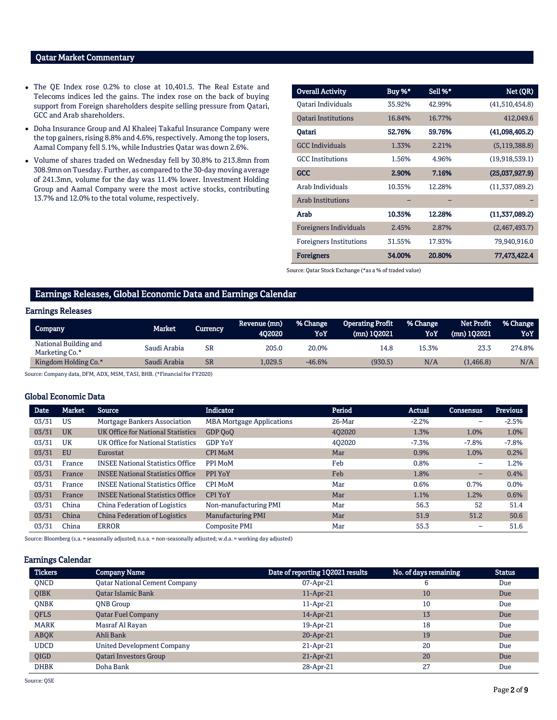#### Qatar Market Commentary

- The QE Index rose 0.2% to close at 10,401.5. The Real Estate and Telecoms indices led the gains. The index rose on the back of buying support from Foreign shareholders despite selling pressure from Qatari, GCC and Arab shareholders.
- Doha Insurance Group and Al Khaleej Takaful Insurance Company were the top gainers, rising 8.8% and 4.6%, respectively. Among the top losers, Aamal Company fell 5.1%, while Industries Qatar was down 2.6%.
- Volume of shares traded on Wednesday fell by 30.8% to 213.8mn from 308.9mn on Tuesday. Further, as compared to the 30-day moving average of 241.3mn, volume for the day was 11.4% lower. Investment Holding Group and Aamal Company were the most active stocks, contributing 13.7% and 12.0% to the total volume, respectively.

| <b>Overall Activity</b>        | Buy %* | Sell %* | Net (QR)        |
|--------------------------------|--------|---------|-----------------|
| Qatari Individuals             | 35.92% | 42.99%  | (41,510,454.8)  |
| <b>Oatari Institutions</b>     | 16.84% | 16.77%  | 412,049.6       |
| Oatari                         | 52.76% | 59.76%  | (41,098,405.2)  |
| <b>GCC</b> Individuals         | 1.33%  | 2.21%   | (5, 119, 388.8) |
| <b>GCC</b> Institutions        | 1.56%  | 4.96%   | (19,918,539.1)  |
| <b>GCC</b>                     | 2.90%  | 7.16%   | (25,037,927.9)  |
| Arab Individuals               | 10.35% | 12.28%  | (11,337,089.2)  |
| <b>Arab Institutions</b>       |        |         |                 |
| Arab                           | 10.35% | 12.28%  | (11,337,089.2)  |
| <b>Foreigners Individuals</b>  | 2.45%  | 2.87%   | (2,467,493.7)   |
| <b>Foreigners Institutions</b> | 31.55% | 17.93%  | 79,940,916.0    |
| <b>Foreigners</b>              | 34.00% | 20.80%  | 77,473,422.4    |

Source: Qatar Stock Exchange (\*as a % of traded value)

#### Earnings Releases, Global Economic Data and Earnings Calendar

#### Earnings Releases

| Company                                 | Market.      | Currencv  | Revenue (mn)<br>402020 | % Change<br>YoY | Operating Profit<br>$(mn)$ 102021 | % Change<br>YoY | <b>Net Profit</b><br>$(mn)$ 102021 | % Change<br>YoY |
|-----------------------------------------|--------------|-----------|------------------------|-----------------|-----------------------------------|-----------------|------------------------------------|-----------------|
| National Building and<br>Marketing Co.* | Saudi Arabia | <b>SR</b> | 205.0                  | 20.0%           | 14.8                              | 15.3%           | 23.3                               | 274.8%          |
| Kingdom Holding Co.*                    | Saudi Arabia | <b>SR</b> | 1.029.5                | $-46.6%$        | (930.5)                           | N/A             | (1,466.8)                          | N/A             |

Source: Company data, DFM, ADX, MSM, TASI, BHB. (\*Financial for FY2020)

#### Global Economic Data

| <b>Date</b> | Market    | <b>Source</b>                           | <b>Indicator</b>                 | Period | Actual  | <b>Consensus</b> | <b>Previous</b> |
|-------------|-----------|-----------------------------------------|----------------------------------|--------|---------|------------------|-----------------|
| 03/31       | <b>US</b> | Mortgage Bankers Association            | <b>MBA Mortgage Applications</b> | 26-Mar | $-2.2%$ | -                | $-2.5%$         |
| 03/31       | <b>UK</b> | UK Office for National Statistics       | GDP QoQ                          | 402020 | 1.3%    | 1.0%             | 1.0%            |
| 03/31       | UK        | UK Office for National Statistics       | <b>GDP YoY</b>                   | 402020 | $-7.3%$ | $-7.8%$          | $-7.8%$         |
| 03/31       | <b>EU</b> | Eurostat                                | <b>CPI MoM</b>                   | Mar    | 0.9%    | 1.0%             | 0.2%            |
| 03/31       | France    | <b>INSEE National Statistics Office</b> | PPI MoM                          | Feb    | 0.8%    | -                | 1.2%            |
| 03/31       | France    | <b>INSEE National Statistics Office</b> | PPI YoY                          | Feb    | 1.8%    | -                | 0.4%            |
| 03/31       | France    | <b>INSEE National Statistics Office</b> | <b>CPI MoM</b>                   | Mar    | 0.6%    | 0.7%             | 0.0%            |
| 03/31       | France    | <b>INSEE National Statistics Office</b> | <b>CPI YoY</b>                   | Mar    | 1.1%    | 1.2%             | 0.6%            |
| 03/31       | China     | China Federation of Logistics           | Non-manufacturing PMI            | Mar    | 56.3    | 52               | 51.4            |
| 03/31       | China     | <b>China Federation of Logistics</b>    | <b>Manufacturing PMI</b>         | Mar    | 51.9    | 51.2             | 50.6            |
| 03/31       | China     | <b>ERROR</b>                            | Composite PMI                    | Mar    | 55.3    | -                | 51.6            |

Source: Bloomberg (s.a. = seasonally adjusted; n.s.a. = non-seasonally adjusted; w.d.a. = working day adjusted)

#### Earnings Calendar

| <b>Tickers</b> | <b>Company Name</b>                  | Date of reporting 1Q2021 results | No. of days remaining | <b>Status</b> |
|----------------|--------------------------------------|----------------------------------|-----------------------|---------------|
| ONCD           | <b>Oatar National Cement Company</b> | $07$ -Apr-21                     | 6                     | Due           |
| <b>QIBK</b>    | <b>Oatar Islamic Bank</b>            | $11$ -Apr-21                     | 10                    | Due           |
| <b>ONBK</b>    | <b>ONB</b> Group                     | $11-Apr-21$                      | 10                    | Due           |
| <b>OFLS</b>    | <b>Qatar Fuel Company</b>            | 14-Apr-21                        | 13                    | Due           |
| <b>MARK</b>    | Masraf Al Rayan                      | 19-Apr-21                        | 18                    | Due           |
| <b>ABOK</b>    | Ahli Bank                            | $20$ -Apr-21                     | 19                    | Due           |
| <b>UDCD</b>    | United Development Company           | $21$ -Apr-21                     | 20                    | Due           |
| <b>OIGD</b>    | <b>Oatari Investors Group</b>        | $21$ -Apr-21                     | 20                    | Due           |
| <b>DHBK</b>    | Doha Bank                            | 28-Apr-21                        | 27                    | Due           |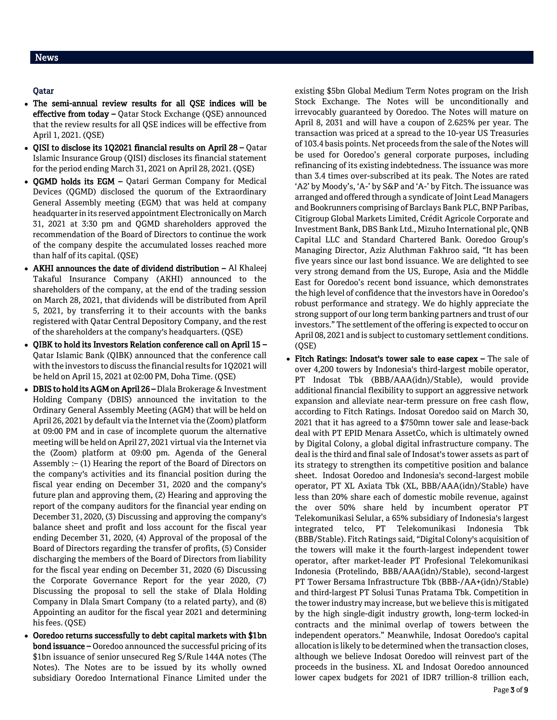#### Qatar

- The semi-annual review results for all QSE indices will be effective from today – Qatar Stock Exchange (QSE) announced that the review results for all QSE indices will be effective from April 1, 2021. (QSE)
- QISI to disclose its 1Q2021 financial results on April 28 Qatar Islamic Insurance Group (QISI) discloses its financial statement for the period ending March 31, 2021 on April 28, 2021. (QSE)
- OGMD holds its EGM Oatari German Company for Medical Devices (QGMD) disclosed the quorum of the Extraordinary General Assembly meeting (EGM) that was held at company headquarter in its reserved appointment Electronically on March 31, 2021 at 3:30 pm and QGMD shareholders approved the recommendation of the Board of Directors to continue the work of the company despite the accumulated losses reached more than half of its capital. (QSE)
- AKHI announces the date of dividend distribution Al Khaleej Takaful Insurance Company (AKHI) announced to the shareholders of the company, at the end of the trading session on March 28, 2021, that dividends will be distributed from April 5, 2021, by transferring it to their accounts with the banks registered with Qatar Central Depository Company, and the rest of the shareholders at the company's headquarters. (QSE)
- QIBK to hold its Investors Relation conference call on April 15 Qatar Islamic Bank (QIBK) announced that the conference call with the investors to discuss the financial results for 1Q2021 will be held on April 15, 2021 at 02:00 PM, Doha Time. (QSE)
- DBIS to hold its AGM on April 26 Dlala Brokerage & Investment Holding Company (DBIS) announced the invitation to the Ordinary General Assembly Meeting (AGM) that will be held on April 26, 2021 by default via the Internet via the (Zoom) platform at 09:00 PM and in case of incomplete quorum the alternative meeting will be held on April 27, 2021 virtual via the Internet via the (Zoom) platform at 09:00 pm. Agenda of the General Assembly :– (1) Hearing the report of the Board of Directors on the company's activities and its financial position during the fiscal year ending on December 31, 2020 and the company's future plan and approving them, (2) Hearing and approving the report of the company auditors for the financial year ending on December 31, 2020, (3) Discussing and approving the company's balance sheet and profit and loss account for the fiscal year ending December 31, 2020, (4) Approval of the proposal of the Board of Directors regarding the transfer of profits, (5) Consider discharging the members of the Board of Directors from liability for the fiscal year ending on December 31, 2020 (6) Discussing the Corporate Governance Report for the year 2020, (7) Discussing the proposal to sell the stake of Dlala Holding Company in Dlala Smart Company (to a related party), and (8) Appointing an auditor for the fiscal year 2021 and determining his fees. (QSE)
- Ooredoo returns successfully to debt capital markets with \$1bn bond issuance – Ooredoo announced the successful pricing of its \$1bn issuance of senior unsecured Reg S/Rule 144A notes (The Notes). The Notes are to be issued by its wholly owned subsidiary Ooredoo International Finance Limited under the

existing \$5bn Global Medium Term Notes program on the Irish Stock Exchange. The Notes will be unconditionally and irrevocably guaranteed by Ooredoo. The Notes will mature on April 8, 2031 and will have a coupon of 2.625% per year. The transaction was priced at a spread to the 10-year US Treasuries of 103.4 basis points. Net proceeds from the sale of the Notes will be used for Ooredoo's general corporate purposes, including refinancing of its existing indebtedness. The issuance was more than 3.4 times over-subscribed at its peak. The Notes are rated 'A2' by Moody's, 'A-' by S&P and 'A-' by Fitch. The issuance was arranged and offered through a syndicate of Joint Lead Managers and Bookrunners comprising of Barclays Bank PLC, BNP Paribas, Citigroup Global Markets Limited, Crédit Agricole Corporate and Investment Bank, DBS Bank Ltd., Mizuho International plc, QNB Capital LLC and Standard Chartered Bank. Ooredoo Group's Managing Director, Aziz Aluthman Fakhroo said, "It has been five years since our last bond issuance. We are delighted to see very strong demand from the US, Europe, Asia and the Middle East for Ooredoo's recent bond issuance, which demonstrates the high level of confidence that the investors have in Ooredoo's robust performance and strategy. We do highly appreciate the strong support of our long term banking partners and trust of our investors." The settlement of the offering is expected to occur on April 08, 2021 and is subject to customary settlement conditions. (QSE)

• Fitch Ratings: Indosat's tower sale to ease capex - The sale of over 4,200 towers by Indonesia's third-largest mobile operator, PT Indosat Tbk (BBB/AAA(idn)/Stable), would provide additional financial flexibility to support an aggressive network expansion and alleviate near-term pressure on free cash flow, according to Fitch Ratings. Indosat Ooredoo said on March 30, 2021 that it has agreed to a \$750mn tower sale and lease-back deal with PT EPID Menara AssetCo, which is ultimately owned by Digital Colony, a global digital infrastructure company. The deal is the third and final sale of Indosat's tower assets as part of its strategy to strengthen its competitive position and balance sheet. Indosat Ooredoo and Indonesia's second-largest mobile operator, PT XL Axiata Tbk (XL, BBB/AAA(idn)/Stable) have less than 20% share each of domestic mobile revenue, against the over 50% share held by incumbent operator PT Telekomunikasi Selular, a 65% subsidiary of Indonesia's largest integrated telco, PT Telekomunikasi Indonesia Tbk (BBB/Stable). Fitch Ratings said, "Digital Colony's acquisition of the towers will make it the fourth-largest independent tower operator, after market-leader PT Profesional Telekomunikasi Indonesia (Protelindo, BBB/AAA(idn)/Stable), second-largest PT Tower Bersama Infrastructure Tbk (BBB-/AA+(idn)/Stable) and third-largest PT Solusi Tunas Pratama Tbk. Competition in the tower industry may increase, but we believe this is mitigated by the high single-digit industry growth, long-term locked-in contracts and the minimal overlap of towers between the independent operators." Meanwhile, Indosat Ooredoo's capital allocation is likely to be determined when the transaction closes, although we believe Indosat Ooredoo will reinvest part of the proceeds in the business. XL and Indosat Ooredoo announced lower capex budgets for 2021 of IDR7 trillion-8 trillion each,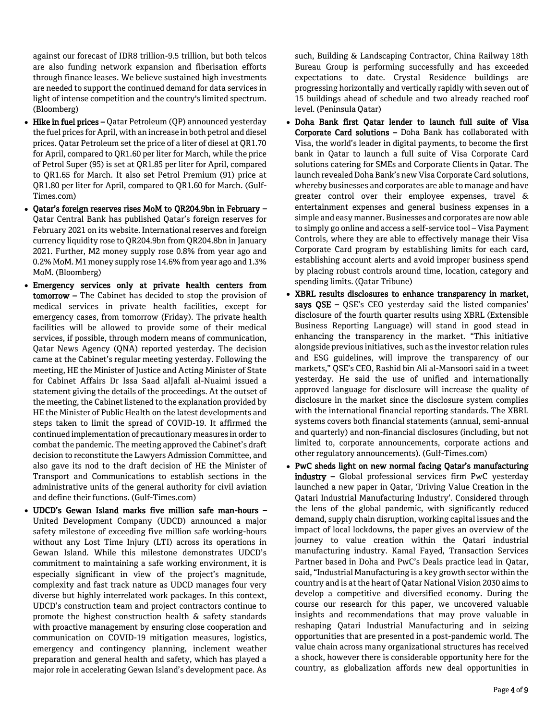against our forecast of IDR8 trillion-9.5 trillion, but both telcos are also funding network expansion and fiberisation efforts through finance leases. We believe sustained high investments are needed to support the continued demand for data services in light of intense competition and the country's limited spectrum. (Bloomberg)

- $\bullet$  Hike in fuel prices Qatar Petroleum (QP) announced yesterday the fuel prices for April, with an increase in both petrol and diesel prices. Qatar Petroleum set the price of a liter of diesel at QR1.70 for April, compared to QR1.60 per liter for March, while the price of Petrol Super (95) is set at QR1.85 per liter for April, compared to QR1.65 for March. It also set Petrol Premium (91) price at QR1.80 per liter for April, compared to QR1.60 for March. (Gulf-Times.com)
- Qatar's foreign reserves rises MoM to QR204.9bn in February Qatar Central Bank has published Qatar's foreign reserves for February 2021 on its website. International reserves and foreign currency liquidity rose to QR204.9bn from QR204.8bn in January 2021. Further, M2 money supply rose 0.8% from year ago and 0.2% MoM. M1 money supply rose 14.6% from year ago and 1.3% MoM. (Bloomberg)
- Emergency services only at private health centers from tomorrow – The Cabinet has decided to stop the provision of medical services in private health facilities, except for emergency cases, from tomorrow (Friday). The private health facilities will be allowed to provide some of their medical services, if possible, through modern means of communication, Qatar News Agency (QNA) reported yesterday. The decision came at the Cabinet's regular meeting yesterday. Following the meeting, HE the Minister of Justice and Acting Minister of State for Cabinet Affairs Dr Issa Saad alJafali al-Nuaimi issued a statement giving the details of the proceedings. At the outset of the meeting, the Cabinet listened to the explanation provided by HE the Minister of Public Health on the latest developments and steps taken to limit the spread of COVID-19. It affirmed the continued implementation of precautionary measures in order to combat the pandemic. The meeting approved the Cabinet's draft decision to reconstitute the Lawyers Admission Committee, and also gave its nod to the draft decision of HE the Minister of Transport and Communications to establish sections in the administrative units of the general authority for civil aviation and define their functions. (Gulf-Times.com)
- UDCD's Gewan Island marks five million safe man-hours United Development Company (UDCD) announced a major safety milestone of exceeding five million safe working-hours without any Lost Time Injury (LTI) across its operations in Gewan Island. While this milestone demonstrates UDCD's commitment to maintaining a safe working environment, it is especially significant in view of the project's magnitude, complexity and fast track nature as UDCD manages four very diverse but highly interrelated work packages. In this context, UDCD's construction team and project contractors continue to promote the highest construction health & safety standards with proactive management by ensuring close cooperation and communication on COVID-19 mitigation measures, logistics, emergency and contingency planning, inclement weather preparation and general health and safety, which has played a major role in accelerating Gewan Island's development pace. As

such, Building & Landscaping Contractor, China Railway 18th Bureau Group is performing successfully and has exceeded expectations to date. Crystal Residence buildings are progressing horizontally and vertically rapidly with seven out of 15 buildings ahead of schedule and two already reached roof level. (Peninsula Qatar)

- Doha Bank first Qatar lender to launch full suite of Visa Corporate Card solutions – Doha Bank has collaborated with Visa, the world's leader in digital payments, to become the first bank in Qatar to launch a full suite of Visa Corporate Card solutions catering for SMEs and Corporate Clients in Qatar. The launch revealed Doha Bank's new Visa Corporate Card solutions, whereby businesses and corporates are able to manage and have greater control over their employee expenses, travel & entertainment expenses and general business expenses in a simple and easy manner. Businesses and corporates are now able to simply go online and access a self-service tool – Visa Payment Controls, where they are able to effectively manage their Visa Corporate Card program by establishing limits for each card, establishing account alerts and avoid improper business spend by placing robust controls around time, location, category and spending limits. (Qatar Tribune)
- XBRL results disclosures to enhance transparency in market, says QSE – QSE's CEO yesterday said the listed companies' disclosure of the fourth quarter results using XBRL (Extensible Business Reporting Language) will stand in good stead in enhancing the transparency in the market. "This initiative alongside previous initiatives, such as the investor relation rules and ESG guidelines, will improve the transparency of our markets," QSE's CEO, Rashid bin Ali al-Mansoori said in a tweet yesterday. He said the use of unified and internationally approved language for disclosure will increase the quality of disclosure in the market since the disclosure system complies with the international financial reporting standards. The XBRL systems covers both financial statements (annual, semi-annual and quarterly) and non-financial disclosures (including, but not limited to, corporate announcements, corporate actions and other regulatory announcements). (Gulf-Times.com)
- PwC sheds light on new normal facing Qatar's manufacturing industry – Global professional services firm PwC yesterday launched a new paper in Qatar, 'Driving Value Creation in the Qatari Industrial Manufacturing Industry'. Considered through the lens of the global pandemic, with significantly reduced demand, supply chain disruption, working capital issues and the impact of local lockdowns, the paper gives an overview of the journey to value creation within the Qatari industrial manufacturing industry. Kamal Fayed, Transaction Services Partner based in Doha and PwC's Deals practice lead in Qatar, said, "Industrial Manufacturing is a key growth sector within the country and is at the heart of Qatar National Vision 2030 aims to develop a competitive and diversified economy. During the course our research for this paper, we uncovered valuable insights and recommendations that may prove valuable in reshaping Qatari Industrial Manufacturing and in seizing opportunities that are presented in a post-pandemic world. The value chain across many organizational structures has received a shock, however there is considerable opportunity here for the country, as globalization affords new deal opportunities in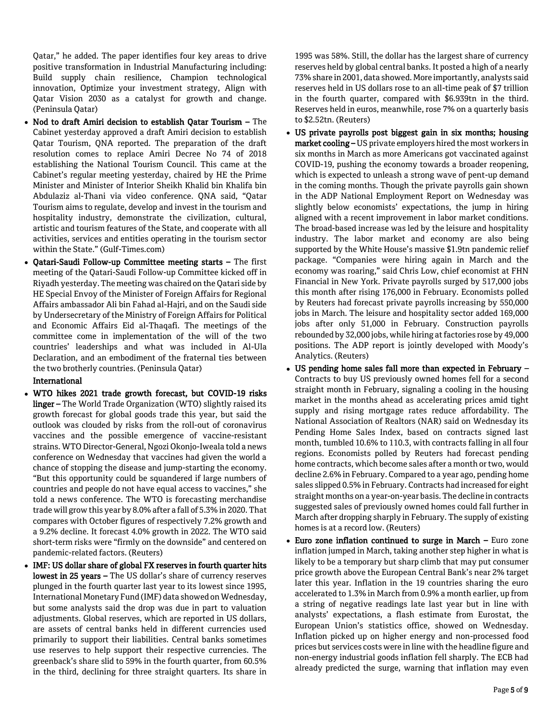Qatar," he added. The paper identifies four key areas to drive positive transformation in Industrial Manufacturing including: Build supply chain resilience, Champion technological innovation, Optimize your investment strategy, Align with Qatar Vision 2030 as a catalyst for growth and change. (Peninsula Qatar)

- Nod to draft Amiri decision to establish Qatar Tourism The Cabinet yesterday approved a draft Amiri decision to establish Qatar Tourism, QNA reported. The preparation of the draft resolution comes to replace Amiri Decree No 74 of 2018 establishing the National Tourism Council. This came at the Cabinet's regular meeting yesterday, chaired by HE the Prime Minister and Minister of Interior Sheikh Khalid bin Khalifa bin Abdulaziz al-Thani via video conference. QNA said, "Qatar Tourism aims to regulate, develop and invest in the tourism and hospitality industry, demonstrate the civilization, cultural, artistic and tourism features of the State, and cooperate with all activities, services and entities operating in the tourism sector within the State." (Gulf-Times.com)
- Qatari-Saudi Follow-up Committee meeting starts The first meeting of the Qatari-Saudi Follow-up Committee kicked off in Riyadh yesterday. The meeting was chaired on the Qatari side by HE Special Envoy of the Minister of Foreign Affairs for Regional Affairs ambassador Ali bin Fahad al-Hajri, and on the Saudi side by Undersecretary of the Ministry of Foreign Affairs for Political and Economic Affairs Eid al-Thaqafi. The meetings of the committee come in implementation of the will of the two countries' leaderships and what was included in Al-Ula Declaration, and an embodiment of the fraternal ties between the two brotherly countries. (Peninsula Qatar)

#### International

- WTO hikes 2021 trade growth forecast, but COVID-19 risks linger – The World Trade Organization (WTO) slightly raised its growth forecast for global goods trade this year, but said the outlook was clouded by risks from the roll-out of coronavirus vaccines and the possible emergence of vaccine-resistant strains. WTO Director-General, Ngozi Okonjo-Iweala told a news conference on Wednesday that vaccines had given the world a chance of stopping the disease and jump-starting the economy. "But this opportunity could be squandered if large numbers of countries and people do not have equal access to vaccines," she told a news conference. The WTO is forecasting merchandise trade will grow this year by 8.0% after a fall of 5.3% in 2020. That compares with October figures of respectively 7.2% growth and a 9.2% decline. It forecast 4.0% growth in 2022. The WTO said short-term risks were "firmly on the downside" and centered on pandemic-related factors. (Reuters)
- IMF: US dollar share of global FX reserves in fourth quarter hits lowest in 25 years – The US dollar's share of currency reserves plunged in the fourth quarter last year to its lowest since 1995, International Monetary Fund (IMF) data showed on Wednesday, but some analysts said the drop was due in part to valuation adjustments. Global reserves, which are reported in US dollars, are assets of central banks held in different currencies used primarily to support their liabilities. Central banks sometimes use reserves to help support their respective currencies. The greenback's share slid to 59% in the fourth quarter, from 60.5% in the third, declining for three straight quarters. Its share in

1995 was 58%. Still, the dollar has the largest share of currency reserves held by global central banks. It posted a high of a nearly 73% share in 2001, data showed. More importantly, analysts said reserves held in US dollars rose to an all-time peak of \$7 trillion in the fourth quarter, compared with \$6.939tn in the third. Reserves held in euros, meanwhile, rose 7% on a quarterly basis to \$2.52tn. (Reuters)

- US private payrolls post biggest gain in six months; housing market cooling - US private employers hired the most workers in six months in March as more Americans got vaccinated against COVID-19, pushing the economy towards a broader reopening, which is expected to unleash a strong wave of pent-up demand in the coming months. Though the private payrolls gain shown in the ADP National Employment Report on Wednesday was slightly below economists' expectations, the jump in hiring aligned with a recent improvement in labor market conditions. The broad-based increase was led by the leisure and hospitality industry. The labor market and economy are also being supported by the White House's massive \$1.9tn pandemic relief package. "Companies were hiring again in March and the economy was roaring," said Chris Low, chief economist at FHN Financial in New York. Private payrolls surged by 517,000 jobs this month after rising 176,000 in February. Economists polled by Reuters had forecast private payrolls increasing by 550,000 jobs in March. The leisure and hospitality sector added 169,000 jobs after only 51,000 in February. Construction payrolls rebounded by 32,000 jobs, while hiring at factories rose by 49,000 positions. The ADP report is jointly developed with Moody's Analytics. (Reuters)
- US pending home sales fall more than expected in February Contracts to buy US previously owned homes fell for a second straight month in February, signaling a cooling in the housing market in the months ahead as accelerating prices amid tight supply and rising mortgage rates reduce affordability. The National Association of Realtors (NAR) said on Wednesday its Pending Home Sales Index, based on contracts signed last month, tumbled 10.6% to 110.3, with contracts falling in all four regions. Economists polled by Reuters had forecast pending home contracts, which become sales after a month or two, would decline 2.6% in February. Compared to a year ago, pending home sales slipped 0.5% in February. Contracts had increased for eight straight months on a year-on-year basis. The decline in contracts suggested sales of previously owned homes could fall further in March after dropping sharply in February. The supply of existing homes is at a record low. (Reuters)
- Euro zone inflation continued to surge in March Euro zone inflation jumped in March, taking another step higher in what is likely to be a temporary but sharp climb that may put consumer price growth above the European Central Bank's near 2% target later this year. Inflation in the 19 countries sharing the euro accelerated to 1.3% in March from 0.9% a month earlier, up from a string of negative readings late last year but in line with analysts' expectations, a flash estimate from Eurostat, the European Union's statistics office, showed on Wednesday. Inflation picked up on higher energy and non-processed food prices but services costs were in line with the headline figure and non-energy industrial goods inflation fell sharply. The ECB had already predicted the surge, warning that inflation may even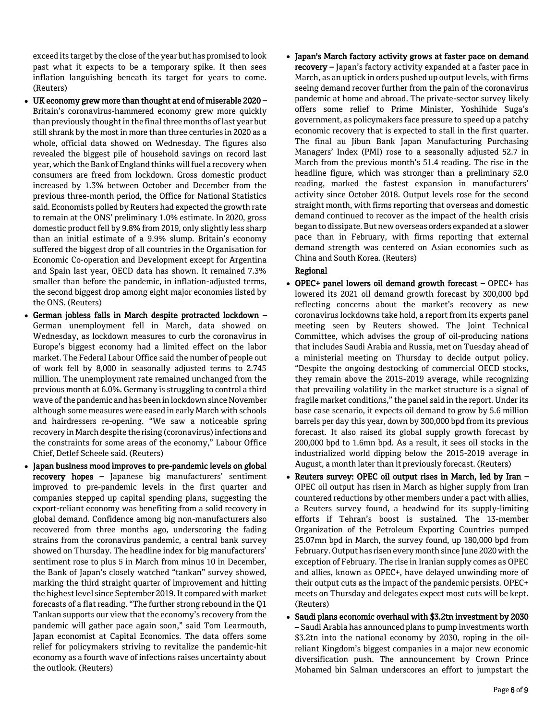exceed its target by the close of the year but has promised to look past what it expects to be a temporary spike. It then sees inflation languishing beneath its target for years to come. (Reuters)

- UK economy grew more than thought at end of miserable 2020 Britain's coronavirus-hammered economy grew more quickly than previously thought in the final three months of last year but still shrank by the most in more than three centuries in 2020 as a whole, official data showed on Wednesday. The figures also revealed the biggest pile of household savings on record last year, which the Bank of England thinks will fuel a recovery when consumers are freed from lockdown. Gross domestic product increased by 1.3% between October and December from the previous three-month period, the Office for National Statistics said. Economists polled by Reuters had expected the growth rate to remain at the ONS' preliminary 1.0% estimate. In 2020, gross domestic product fell by 9.8% from 2019, only slightly less sharp than an initial estimate of a 9.9% slump. Britain's economy suffered the biggest drop of all countries in the Organisation for Economic Co-operation and Development except for Argentina and Spain last year, OECD data has shown. It remained 7.3% smaller than before the pandemic, in inflation-adjusted terms, the second biggest drop among eight major economies listed by the ONS. (Reuters)
- German jobless falls in March despite protracted lockdown German unemployment fell in March, data showed on Wednesday, as lockdown measures to curb the coronavirus in Europe's biggest economy had a limited effect on the labor market. The Federal Labour Office said the number of people out of work fell by 8,000 in seasonally adjusted terms to 2.745 million. The unemployment rate remained unchanged from the previous month at 6.0%. Germany is struggling to control a third wave of the pandemic and has been in lockdown since November although some measures were eased in early March with schools and hairdressers re-opening. "We saw a noticeable spring recovery in March despite the rising (coronavirus) infections and the constraints for some areas of the economy," Labour Office Chief, Detlef Scheele said. (Reuters)
- Japan business mood improves to pre-pandemic levels on global recovery hopes – Japanese big manufacturers' sentiment improved to pre-pandemic levels in the first quarter and companies stepped up capital spending plans, suggesting the export-reliant economy was benefiting from a solid recovery in global demand. Confidence among big non-manufacturers also recovered from three months ago, underscoring the fading strains from the coronavirus pandemic, a central bank survey showed on Thursday. The headline index for big manufacturers' sentiment rose to plus 5 in March from minus 10 in December, the Bank of Japan's closely watched "tankan" survey showed, marking the third straight quarter of improvement and hitting the highest level since September 2019. It compared with market forecasts of a flat reading. "The further strong rebound in the Q1 Tankan supports our view that the economy's recovery from the pandemic will gather pace again soon," said Tom Learmouth, Japan economist at Capital Economics. The data offers some relief for policymakers striving to revitalize the pandemic-hit economy as a fourth wave of infections raises uncertainty about the outlook. (Reuters)

• Japan's March factory activity grows at faster pace on demand **recovery –** Japan's factory activity expanded at a faster pace in March, as an uptick in orders pushed up output levels, with firms seeing demand recover further from the pain of the coronavirus pandemic at home and abroad. The private-sector survey likely offers some relief to Prime Minister, Yoshihide Suga's government, as policymakers face pressure to speed up a patchy economic recovery that is expected to stall in the first quarter. The final au Jibun Bank Japan Manufacturing Purchasing Managers' Index (PMI) rose to a seasonally adjusted 52.7 in March from the previous month's 51.4 reading. The rise in the headline figure, which was stronger than a preliminary 52.0 reading, marked the fastest expansion in manufacturers' activity since October 2018. Output levels rose for the second straight month, with firms reporting that overseas and domestic demand continued to recover as the impact of the health crisis began to dissipate. But new overseas orders expanded at a slower pace than in February, with firms reporting that external demand strength was centered on Asian economies such as China and South Korea. (Reuters)

#### Regional

- OPEC+ panel lowers oil demand growth forecast OPEC+ has lowered its 2021 oil demand growth forecast by 300,000 bpd reflecting concerns about the market's recovery as new coronavirus lockdowns take hold, a report from its experts panel meeting seen by Reuters showed. The Joint Technical Committee, which advises the group of oil-producing nations that includes Saudi Arabia and Russia, met on Tuesday ahead of a ministerial meeting on Thursday to decide output policy. "Despite the ongoing destocking of commercial OECD stocks, they remain above the 2015-2019 average, while recognizing that prevailing volatility in the market structure is a signal of fragile market conditions," the panel said in the report. Under its base case scenario, it expects oil demand to grow by 5.6 million barrels per day this year, down by 300,000 bpd from its previous forecast. It also raised its global supply growth forecast by 200,000 bpd to 1.6mn bpd. As a result, it sees oil stocks in the industrialized world dipping below the 2015-2019 average in August, a month later than it previously forecast. (Reuters)
- Reuters survey: OPEC oil output rises in March, led by Iran OPEC oil output has risen in March as higher supply from Iran countered reductions by other members under a pact with allies, a Reuters survey found, a headwind for its supply-limiting efforts if Tehran's boost is sustained. The 13-member Organization of the Petroleum Exporting Countries pumped 25.07mn bpd in March, the survey found, up 180,000 bpd from February. Output has risen every month since June 2020 with the exception of February. The rise in Iranian supply comes as OPEC and allies, known as OPEC+, have delayed unwinding more of their output cuts as the impact of the pandemic persists. OPEC+ meets on Thursday and delegates expect most cuts will be kept. (Reuters)
- Saudi plans economic overhaul with \$3.2tn investment by 2030 – Saudi Arabia has announced plans to pump investments worth \$3.2tn into the national economy by 2030, roping in the oilreliant Kingdom's biggest companies in a major new economic diversification push. The announcement by Crown Prince Mohamed bin Salman underscores an effort to jumpstart the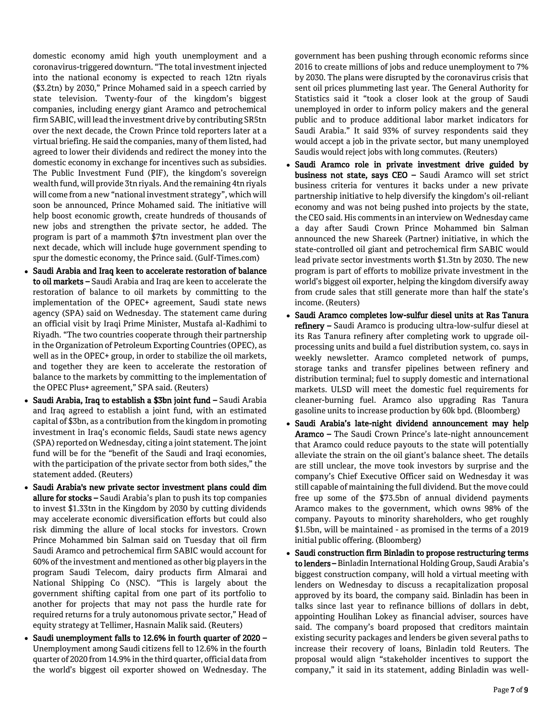domestic economy amid high youth unemployment and a coronavirus-triggered downturn. "The total investment injected into the national economy is expected to reach 12tn riyals (\$3.2tn) by 2030," Prince Mohamed said in a speech carried by state television. Twenty-four of the kingdom's biggest companies, including energy giant Aramco and petrochemical firm SABIC, will lead the investment drive by contributing SR5tn over the next decade, the Crown Prince told reporters later at a virtual briefing. He said the companies, many of them listed, had agreed to lower their dividends and redirect the money into the domestic economy in exchange for incentives such as subsidies. The Public Investment Fund (PIF), the kingdom's sovereign wealth fund, will provide 3tn riyals. And the remaining 4tn riyals will come from a new "national investment strategy", which will soon be announced, Prince Mohamed said. The initiative will help boost economic growth, create hundreds of thousands of new jobs and strengthen the private sector, he added. The program is part of a mammoth \$7tn investment plan over the next decade, which will include huge government spending to spur the domestic economy, the Prince said. (Gulf-Times.com)

- Saudi Arabia and Iraq keen to accelerate restoration of balance to oil markets – Saudi Arabia and Iraq are keen to accelerate the restoration of balance to oil markets by committing to the implementation of the OPEC+ agreement, Saudi state news agency (SPA) said on Wednesday. The statement came during an official visit by Iraqi Prime Minister, Mustafa al-Kadhimi to Riyadh. "The two countries cooperate through their partnership in the Organization of Petroleum Exporting Countries (OPEC), as well as in the OPEC+ group, in order to stabilize the oil markets, and together they are keen to accelerate the restoration of balance to the markets by committing to the implementation of the OPEC Plus+ agreement," SPA said. (Reuters)
- Saudi Arabia, Iraq to establish a \$3bn joint fund Saudi Arabia and Iraq agreed to establish a joint fund, with an estimated capital of \$3bn, as a contribution from the kingdom in promoting investment in Iraq's economic fields, Saudi state news agency (SPA) reported on Wednesday, citing a joint statement. The joint fund will be for the "benefit of the Saudi and Iraqi economies, with the participation of the private sector from both sides," the statement added. (Reuters)
- Saudi Arabia's new private sector investment plans could dim allure for stocks – Saudi Arabia's plan to push its top companies to invest \$1.33tn in the Kingdom by 2030 by cutting dividends may accelerate economic diversification efforts but could also risk dimming the allure of local stocks for investors. Crown Prince Mohammed bin Salman said on Tuesday that oil firm Saudi Aramco and petrochemical firm SABIC would account for 60% of the investment and mentioned as other big players in the program Saudi Telecom, dairy products firm Almarai and National Shipping Co (NSC). "This is largely about the government shifting capital from one part of its portfolio to another for projects that may not pass the hurdle rate for required returns for a truly autonomous private sector," Head of equity strategy at Tellimer, Hasnain Malik said. (Reuters)
- Saudi unemployment falls to 12.6% in fourth quarter of 2020 Unemployment among Saudi citizens fell to 12.6% in the fourth quarter of 2020 from 14.9% in the third quarter, official data from the world's biggest oil exporter showed on Wednesday. The

government has been pushing through economic reforms since 2016 to create millions of jobs and reduce unemployment to 7% by 2030. The plans were disrupted by the coronavirus crisis that sent oil prices plummeting last year. The General Authority for Statistics said it "took a closer look at the group of Saudi unemployed in order to inform policy makers and the general public and to produce additional labor market indicators for Saudi Arabia." It said 93% of survey respondents said they would accept a job in the private sector, but many unemployed Saudis would reject jobs with long commutes. (Reuters)

- Saudi Aramco role in private investment drive guided by business not state, says CEO – Saudi Aramco will set strict business criteria for ventures it backs under a new private partnership initiative to help diversify the kingdom's oil-reliant economy and was not being pushed into projects by the state, the CEO said. His comments in an interview on Wednesday came a day after Saudi Crown Prince Mohammed bin Salman announced the new Shareek (Partner) initiative, in which the state-controlled oil giant and petrochemical firm SABIC would lead private sector investments worth \$1.3tn by 2030. The new program is part of efforts to mobilize private investment in the world's biggest oil exporter, helping the kingdom diversify away from crude sales that still generate more than half the state's income. (Reuters)
- Saudi Aramco completes low-sulfur diesel units at Ras Tanura refinery - Saudi Aramco is producing ultra-low-sulfur diesel at its Ras Tanura refinery after completing work to upgrade oilprocessing units and build a fuel distribution system, co. says in weekly newsletter. Aramco completed network of pumps, storage tanks and transfer pipelines between refinery and distribution terminal; fuel to supply domestic and international markets. ULSD will meet the domestic fuel requirements for cleaner-burning fuel. Aramco also upgrading Ras Tanura gasoline units to increase production by 60k bpd. (Bloomberg)
- Saudi Arabia's late-night dividend announcement may help Aramco – The Saudi Crown Prince's late-night announcement that Aramco could reduce payouts to the state will potentially alleviate the strain on the oil giant's balance sheet. The details are still unclear, the move took investors by surprise and the company's Chief Executive Officer said on Wednesday it was still capable of maintaining the full dividend. But the move could free up some of the \$73.5bn of annual dividend payments Aramco makes to the government, which owns 98% of the company. Payouts to minority shareholders, who get roughly \$1.5bn, will be maintained - as promised in the terms of a 2019 initial public offering. (Bloomberg)
- Saudi construction firm Binladin to propose restructuring terms to lenders – Binladin International Holding Group, Saudi Arabia's biggest construction company, will hold a virtual meeting with lenders on Wednesday to discuss a recapitalization proposal approved by its board, the company said. Binladin has been in talks since last year to refinance billions of dollars in debt, appointing Houlihan Lokey as financial adviser, sources have said. The company's board proposed that creditors maintain existing security packages and lenders be given several paths to increase their recovery of loans, Binladin told Reuters. The proposal would align "stakeholder incentives to support the company," it said in its statement, adding Binladin was well-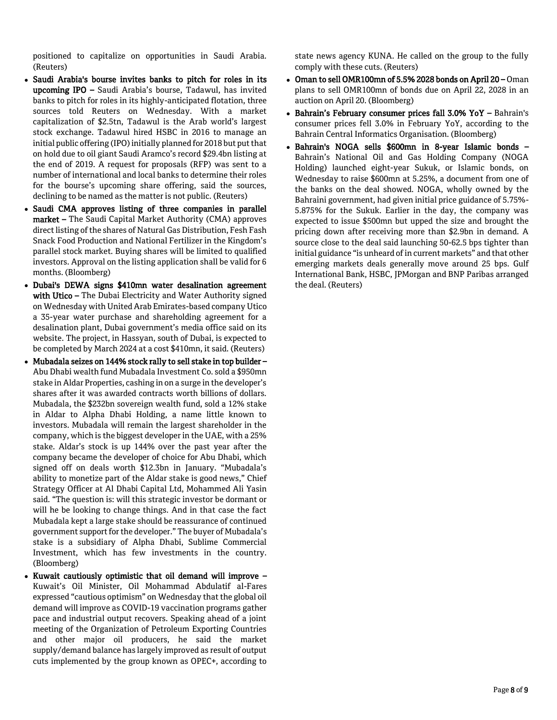positioned to capitalize on opportunities in Saudi Arabia. (Reuters)

- Saudi Arabia's bourse invites banks to pitch for roles in its upcoming IPO – Saudi Arabia's bourse, Tadawul, has invited banks to pitch for roles in its highly-anticipated flotation, three sources told Reuters on Wednesday. With a market capitalization of \$2.5tn, Tadawul is the Arab world's largest stock exchange. Tadawul hired HSBC in 2016 to manage an initial public offering (IPO) initially planned for 2018 but put that on hold due to oil giant Saudi Aramco's record \$29.4bn listing at the end of 2019. A request for proposals (RFP) was sent to a number of international and local banks to determine their roles for the bourse's upcoming share offering, said the sources, declining to be named as the matter is not public. (Reuters)
- Saudi CMA approves listing of three companies in parallel market – The Saudi Capital Market Authority (CMA) approves direct listing of the shares of Natural Gas Distribution, Fesh Fash Snack Food Production and National Fertilizer in the Kingdom's parallel stock market. Buying shares will be limited to qualified investors. Approval on the listing application shall be valid for 6 months. (Bloomberg)
- Dubai's DEWA signs \$410mn water desalination agreement with Utico - The Dubai Electricity and Water Authority signed on Wednesday with United Arab Emirates-based company Utico a 35-year water purchase and shareholding agreement for a desalination plant, Dubai government's media office said on its website. The project, in Hassyan, south of Dubai, is expected to be completed by March 2024 at a cost \$410mn, it said. (Reuters)
- Mubadala seizes on 144% stock rally to sell stake in top builder Abu Dhabi wealth fund Mubadala Investment Co. sold a \$950mn stake in Aldar Properties, cashing in on a surge in the developer's shares after it was awarded contracts worth billions of dollars. Mubadala, the \$232bn sovereign wealth fund, sold a 12% stake in Aldar to Alpha Dhabi Holding, a name little known to investors. Mubadala will remain the largest shareholder in the company, which is the biggest developer in the UAE, with a 25% stake. Aldar's stock is up 144% over the past year after the company became the developer of choice for Abu Dhabi, which signed off on deals worth \$12.3bn in January. "Mubadala's ability to monetize part of the Aldar stake is good news," Chief Strategy Officer at Al Dhabi Capital Ltd, Mohammed Ali Yasin said. "The question is: will this strategic investor be dormant or will he be looking to change things. And in that case the fact Mubadala kept a large stake should be reassurance of continued government support for the developer." The buyer of Mubadala's stake is a subsidiary of Alpha Dhabi, Sublime Commercial Investment, which has few investments in the country. (Bloomberg)
- Kuwait cautiously optimistic that oil demand will improve Kuwait's Oil Minister, Oil Mohammad Abdulatif al-Fares expressed "cautious optimism" on Wednesday that the global oil demand will improve as COVID-19 vaccination programs gather pace and industrial output recovers. Speaking ahead of a joint meeting of the Organization of Petroleum Exporting Countries and other major oil producers, he said the market supply/demand balance has largely improved as result of output cuts implemented by the group known as OPEC+, according to

state news agency KUNA. He called on the group to the fully comply with these cuts. (Reuters)

- Oman to sell OMR100mn of 5.5% 2028 bonds on April 20 Oman plans to sell OMR100mn of bonds due on April 22, 2028 in an auction on April 20. (Bloomberg)
- Bahrain's February consumer prices fall 3.0% YoY Bahrain's consumer prices fell 3.0% in February YoY, according to the Bahrain Central Informatics Organisation. (Bloomberg)
- Bahrain's NOGA sells \$600mn in 8-year Islamic bonds Bahrain's National Oil and Gas Holding Company (NOGA Holding) launched eight-year Sukuk, or Islamic bonds, on Wednesday to raise \$600mn at 5.25%, a document from one of the banks on the deal showed. NOGA, wholly owned by the Bahraini government, had given initial price guidance of 5.75%- 5.875% for the Sukuk. Earlier in the day, the company was expected to issue \$500mn but upped the size and brought the pricing down after receiving more than \$2.9bn in demand. A source close to the deal said launching 50-62.5 bps tighter than initial guidance "is unheard of in current markets" and that other emerging markets deals generally move around 25 bps. Gulf International Bank, HSBC, JPMorgan and BNP Paribas arranged the deal. (Reuters)